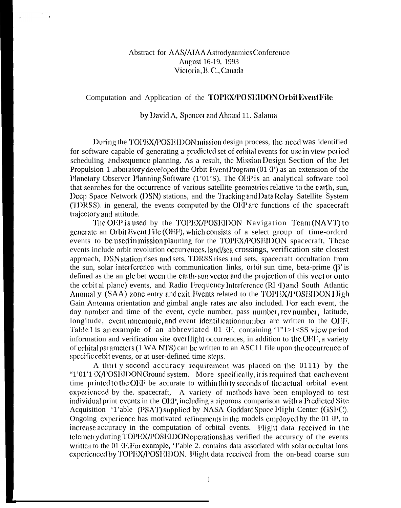## Abstract for AAS/AIAA Astrodynamics Conference August 16-19, 1993 Victoria, B. C., Canada

## Computation and Application of the TOPEX/POSEIDON Orbit Event File

## by David A, Spencer and Ahmed 11. Salama

During the TOPEX/POSE IDON mission design process, the need was identified for software capable of generating a predicted set of orbital events for use in view period scheduling and sequence planning. As a result, the Mission Design Section of the Jet Propulsion 1 aboratory developed the Orbit Event Program  $(01 \cdot P)$  as an extension of the Planctary Observer Planning Software (1'01'S). The OEP is an analytical software tool that searches for the occurrence of various satellite geometries relative to the earth, sun, Deep Space Network (DSN) stations, and the Tracking and Data Relay Satellite System (TDRSS), in general, the events computed by the OEP arc functions of the spacecraft trajectory and attitude.

The OEP is used by the TOPEX/POSEIDON Navigation Team (NAVT) to generate an Orbit Event File (OEF), which consists of a select group of time-orderd events to be used in mission planning for the TOPEX/POSEIDON spacecraft, These events include orbit revolution occurrences, land/sea crossings, verification site closest approach, DSN station rises and sets, TDRSS rises and sets, spacecraft occultation from the sun, solar interference with communication links, orbit sun time, beta-prime  $(\beta')$  is defined as the an glc bet ween the earth-sun vector and the projection of this vect or onto the orbit al plane) events, and Radio Frequency Interference (RI T) and South Atlantic Anomal y (SAA) zone entry and exit. Events related to the TOPEX/POSE IDON High Gain Antenna orientation and gimbal angle rates are also included. For each event, the day number and time of the event, cycle number, pass number, rev number, latitude, longitude, event mnemonic, and event identification number are written to the OEF. Table 1 is an example of an abbreviated 01  $\mathbb{R}$ , containing '1"1>1<SS view period information and verification site overflight occurrences, in addition to the OEE, a variety of orbital parameters (1 WANTS) can be written to an ASC11 file upon the occurrence of specific orbit events, or at user-defined time steps.

A thirt y second accuracy requirement was placed on the 0111) by the "1'01'1 (X/POSHIDONGround system. More specifically, it is required that each event time printed to the OEF be accurate to within thirty seconds of the actual orbital event experienced by the spacecraft. A variety of methods have been employed to test individual print events in the OEP, including a rigorous comparison with a Predicted Site Acquisition '1'able (PSAT) supplied by NASA Goddard Space Flight Center (GSFC). Ongoing experience has motivated refinements in the models employed by the 01 P, to increase accuracy in the computation of orbital events. Flight data received in the telemetry during TOPEX/POSEIDON operations has verified the accuracy of the events written to the 01 \Phile Pior example, 'J'able 2, contains data associated with solar occultations experienced by TOPEX/POSE IDON. Flight data received from the on-bead coarse sun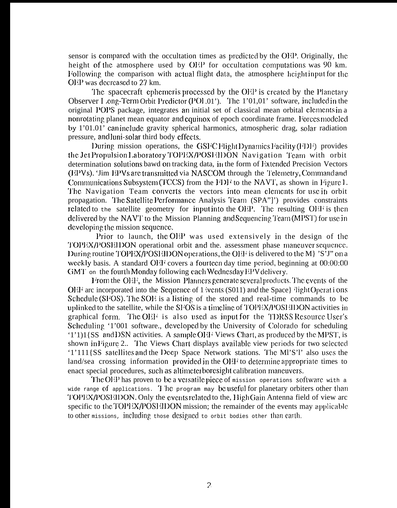sensor is compared with the occultation times as predicted by the  $OEP$ . Originally, the height of the atmosphere used by OEP for occultation computations was  $90 \text{ km}$ . Following the comparison with actual flight data, the atmosphere height input for the OEP was decreased to 27 km.

The spacecraft ephemeris processed by the  $OEP$  is created by the Planetary Observer I ong-Term Orbit Predictor (POI .01'). The 1'01,01' software, included in the original POPS package, integrates an initial set of classical mean orbital elements in a nonrotating planet mean equator and equinox of epoch coordinate frame. Forces modeled by  $1'01.01'$  can include gravity spherical harmonics, atmospheric drag, solar radiation pressure, and luni-solar third body effects.

During mission operations, the GSFCF light Dynamics Facility (FDF) provides the Jet Propulsion Laboratory TOPEX/POSI (IDON Navigation Team with orbit determination solutions bawd on tracking data, in the form of Extended Precision Vectors (EPVs). 'Jim EPVs are transmitted via NASCOM through the Telemetry, Command and Communications Subsystem (TCCS) from the  $H\Omega$ <sup>t</sup> to the NAVT, as shown in Figure 1. The Navigation Team converts the vectors into mean elements for use in orbit propagation. 'J'hc Satdlitc l'crformancc Analysis '1'cam (SPA"]') provides constraints rclated to the satellite geometry for input into the OEP. The resulting OEF is then delivered by the NAVT to the Mission Planning and Sequencing Team  $(MPST)$  for use in developing the mission sequence.

Prior to launch, the  $OEP$  was used extensively in the design of the TOPEX/POSEIDON operational orbit and the. assessment phase maneuver sequence. During routine TOPEX/POSE (IDON operations, the OEF is delivered to the M  $\gamma$  'S'J" on a weekly basis. A standard OEF covers a fourteen day time period, beginning at  $0.00:00:00$ GMT on the fourth Monday following each Wednesday  $EPV$  delivery.

From the OEF, the Mission Planners generate several products. The events of the  $O/H<sup>2</sup>$  arc incorporated into the Sequence of 1 ivents (S011) and the Space}  $\langle$  light Operations Schedule (SFOS). The SOE is a listing of the stored and real-time commands to be uplinked to the satellite, while the SFOS is a timeline of TOPEX/POSEIDON activities in graphical form. The OEF is also used as input for the TDRSS Resource User's Scheduling '1'001 software., developed by the University of Colorado for scheduling  $'1'1$ ) $1$ {SS and DSN activities. A sample OHF Views Chart, as produced by the MPST, is shown in Figure 2.. The Views Chart displays available view periods for two selected '1'111{SS satellites and the Deep Space Network stations. The Ml'S'l' also uses the land/sea crossing information provided in the  $O/H$  to determine appropriate times to enact special procedures, such as altimeter boresight calibration maneuvers.

The OEP has proven to be a vcisatile piece of mission operations software with a wide range of applications. The program may be useful for planetary orbiters other than TOPEX/POSHIDON. Only the events related to the, High Gain Antenna field of view arc specific to the  $TOPEX/POSEIDON$  mission; the remainder of the events may applicable to other missions, including those designed to orbit bodies other than carth.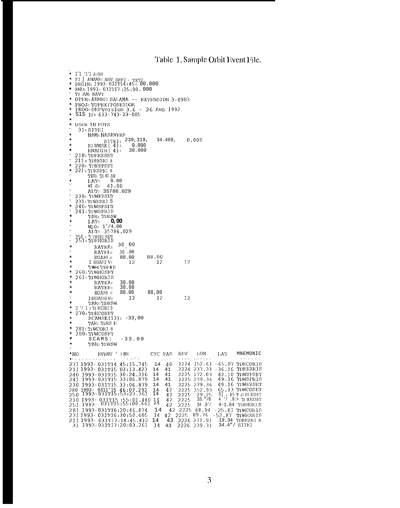## Table 1. Sample Orbit Event File.

| А.<br>А.                          | ◆ 1/1 1/1 赤OFF<br>* FI ] FNAME: NAV OFF1 . TXT7<br>BEGIN: 1993-031T14:45: 00.000<br>$END: 1993 - 031117 : 25:00.000$                                                                                                                                                                                                                                              |                          |                                                                                                                                      |                                       |                                                                                                                                                                 |          |                                                                                                                                                                                                                                                                          |
|-----------------------------------|-------------------------------------------------------------------------------------------------------------------------------------------------------------------------------------------------------------------------------------------------------------------------------------------------------------------------------------------------------------------|--------------------------|--------------------------------------------------------------------------------------------------------------------------------------|---------------------------------------|-----------------------------------------------------------------------------------------------------------------------------------------------------------------|----------|--------------------------------------------------------------------------------------------------------------------------------------------------------------------------------------------------------------------------------------------------------------------------|
| ۰<br>۸<br>×.<br>۸<br>ń            | TF :AM: NAVT<br>OPER= AUMED SALAMA -- EXTENSION 3-0983<br>PROJ: TOPEX/POSEHON<br>PROG: OEP Version $3.6 - 26$ Aug 1992<br>S1S 1D: 633-743-23-005                                                                                                                                                                                                                  |                          |                                                                                                                                      |                                       |                                                                                                                                                                 |          |                                                                                                                                                                                                                                                                          |
| ÷.<br>ź,<br>÷.<br>A               | USER IN PUTS<br>31: SITE1<br>NAM: NASAVERF<br>ELVMSK(4):                                                                                                                                                                                                                                                                                                          | S1TE1: 239,319,<br>0.000 | 34.469,                                                                                                                              |                                       | 0.000                                                                                                                                                           |          |                                                                                                                                                                                                                                                                          |
| A<br>×,                           | RNMDIR(4)<br>210: TDEEZSET<br>211 : TDEEZR1 s<br>220= TDESPSET<br>221 : TDESPR] s                                                                                                                                                                                                                                                                                 | 30.000                   |                                                                                                                                      |                                       |                                                                                                                                                                 |          |                                                                                                                                                                                                                                                                          |
| ٠                                 | TAR: TI )R SE<br>LAT-<br>0.00<br>41.00<br>WI Or<br>ALT: 35786.029<br>230. TIWEZSET<br>231: TIWEZRI S                                                                                                                                                                                                                                                              |                          |                                                                                                                                      |                                       |                                                                                                                                                                 |          |                                                                                                                                                                                                                                                                          |
| ۸<br>A<br>÷.                      | 240: TIWSPSET<br>241-11WSPR1S<br>TAR: TDRSW<br>LAT-<br>WIO: 1'/4.00<br>ALT: 35786.029                                                                                                                                                                                                                                                                             | U, UU                    |                                                                                                                                      |                                       |                                                                                                                                                                 |          |                                                                                                                                                                                                                                                                          |
| v.<br>×.                          | 250 = 1 DEHG SET<br>251 = 1DEHGR1S<br>RATEA :<br>RATEE:<br>HGABI -                                                                                                                                                                                                                                                                                                | 30 00<br>30.00<br>80.00  | 88.00                                                                                                                                |                                       |                                                                                                                                                                 |          |                                                                                                                                                                                                                                                                          |
| ۰<br>隽<br>۸<br>×,<br>A<br>$\star$ | 1 HGADI V=<br>'1'Al<: TDE <b>S</b> E<br>260= TIWHGSET<br>261:1TWHGRIS<br>RATEA:<br>RATEB-                                                                                                                                                                                                                                                                         | 12<br>30.00<br>30.00     | 12                                                                                                                                   | 12                                    |                                                                                                                                                                 |          |                                                                                                                                                                                                                                                                          |
| t,<br>÷,                          | HGAEL =<br>THGYDI A=<br>TAR: TIDRSW<br>$2 \cdot 1$ = TI ECORI S<br>270: TDECOSET                                                                                                                                                                                                                                                                                  | 80.00<br>12              | 88,00<br>12                                                                                                                          | 12                                    |                                                                                                                                                                 |          |                                                                                                                                                                                                                                                                          |
| ÷.<br>۸<br>٨<br>4<br>4            | $SCAMSK(13): -33,00$<br>TAR: TDRS E<br>281:11WCOR1 s<br>280. TIMCOSET<br>SCAMS:                                                                                                                                                                                                                                                                                   | $-33.00$                 |                                                                                                                                      |                                       |                                                                                                                                                                 |          |                                                                                                                                                                                                                                                                          |
| ۰                                 | TAR: TI)RSW<br>$*NO$<br>EAEML / I WE                                                                                                                                                                                                                                                                                                                              |                          | CYC PAS                                                                                                                              | REV.                                  | 1 ON                                                                                                                                                            | LAT.     | MNEMONIC                                                                                                                                                                                                                                                                 |
|                                   | to a series a series and a series of a setting<br>271 1993-031714 45:15,745<br>211 1993 - 031T15 03:13.423<br>240 1993-031T15 30:24.316<br>1993-031T15 33:06.879<br>241<br>230 1993-031T15 33:06.879<br>280 1993- 0311'15 46:07.292<br>250 1993-031T15:53:27.361<br>210 1993- 031T15 :55:01.440<br>251 1993- 031T15:55:08.661<br>251<br>281 1993-031116:20:46.874 |                          | $\epsilon \rightarrow 0$<br>40<br>14<br>14<br>41<br>14<br>41<br>41<br>14<br>14<br>41<br>42<br>14<br>14<br>42<br>42<br>34<br>42<br>14 | 2225<br>2225<br>2225<br>42 2225 68.94 | بالأبالا والمسار والمالون<br>2224 152.61<br>2224 237.31<br>2225 272.83<br>2225 279.36<br>2225 279.36<br>2225 352.93<br>29.25<br>$33.$ $\frac{\pi}{6}$<br>34.0'/ |          | $\alpha$ , $\alpha$ , $\alpha$ , $\alpha$ , $\alpha$ , $\alpha$<br>$-65.07$ TDECORIS<br>-36.16 TDEEZRIS<br>42.10 TIWSPSET<br>49.16 TOWSPRIS<br>49.16 TIWEZSET<br>65.13 TOWCOSET<br>$5$ ], $85$ T D E RSSET<br>4 \/ .9:> TINEZSET<br>4-1.64 TOEHGRIS<br>$-25.81$ TIWCORIS |
|                                   | 231 1993 - 031716:30:50.605<br>211 1993 - 031117:14:45.412<br>31 1993-031T17:20:03.261                                                                                                                                                                                                                                                                            |                          | 42<br>14<br>14<br>43<br>14<br>43                                                                                                     | 2225                                  | 89.76<br>2226 231.91<br>2226 239.31                                                                                                                             | $-52.87$ | TIWEZRIS<br>19.34 TOEEZRI s<br>34.4"/ SITEI                                                                                                                                                                                                                              |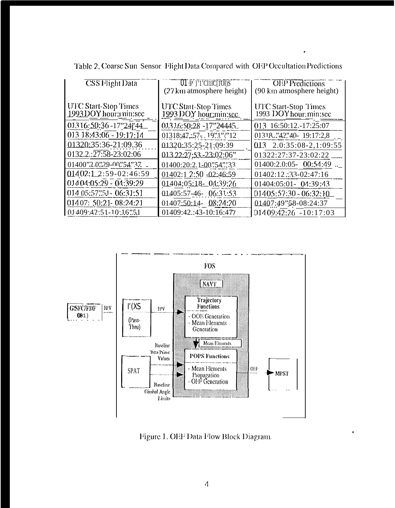| <b>CSS</b> Flight Data                                | $[01]$ $[1]$ $[10]$ $[10]$ $S$<br>(27 km atmosphere height) | <b>OEP</b> Predictions<br>(90 km atmosphere height)   |
|-------------------------------------------------------|-------------------------------------------------------------|-------------------------------------------------------|
| <b>UTC Start-Stop Times</b><br>1993 DOY hour: min:sec | <b>UTC Start-Stop Times</b><br>1993 DOY hour min:sec        | <b>UTC Start-Stop Times</b><br>1993 DOY hour: min:sec |
| 01316:50:36 - 17"24"44                                | 013 16:50:28 -17"24445.                                     | 013 16:50:12.-17:25:07                                |
| 013 18:43:06 - 19:17:14                               | 01318:47:57.19"1"                                           | 01318."42"40-19:17:2,8                                |
| 01320:35:36-21:09.36                                  | 01320:35:25-21:09:39                                        | $013$ $2.0:35:08-2,1:09:55$                           |
| 0132.2.:27:58-23:02:06                                | $01322:27:53-23:02:06"$                                     | 01322:27:37-23:02:22                                  |
| 01400"2.0"29-00"54"37                                 | 01400:20:2.1-00".54"."33                                    | $01400:2.0:05 - 00:54:49$                             |
| $01402:12:59-02:46:59$                                | $01402:1$ $2:50 -02:46:59$                                  | 01402:12 :33-02:47:16                                 |
| $01404:05:29 - 04:39:29$                              | 01404:05:18-04:39:26                                        | 01404:05:01- 04:39:43                                 |
| 014 05:57:51 - 06:31:51                               | $0.1405:57-46-06:31:53$                                     | $01405:57:30 - 06:32:10$                              |
| 014 07: 50:21 - 08:24:21                              | $01407:50:14 - 08:24:20$                                    | 01407:49" \$8-08:24:37                                |
| $01409.42.51 - 10.16$ . 51                            | 01409:42.:43-10:16:477                                      | $01409:42:26 -10:17:03$                               |

Table 2. Coarse Sun Sensor Flight Data Compared with OEP Occultation Predictions



Figure 1. OEF Data Flow Block Diagram.